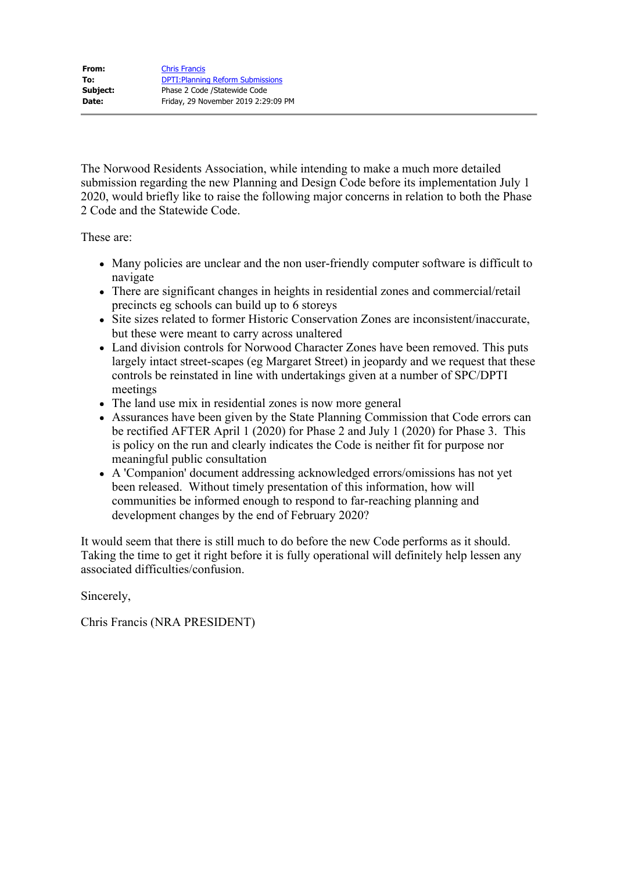| From:    | <b>Chris Francis</b>                     |
|----------|------------------------------------------|
| To:      | <b>DPTI: Planning Reform Submissions</b> |
| Subject: | Phase 2 Code / Statewide Code            |
| Date:    | Friday, 29 November 2019 2:29:09 PM      |

The Norwood Residents Association, while intending to make a much more detailed submission regarding the new Planning and Design Code before its implementation July 1 2020, would briefly like to raise the following major concerns in relation to both the Phase 2 Code and the Statewide Code.

These are:

- Many policies are unclear and the non user-friendly computer software is difficult to navigate
- There are significant changes in heights in residential zones and commercial/retail precincts eg schools can build up to 6 storeys
- Site sizes related to former Historic Conservation Zones are inconsistent/inaccurate, but these were meant to carry across unaltered
- Land division controls for Norwood Character Zones have been removed. This puts largely intact street-scapes (eg Margaret Street) in jeopardy and we request that these controls be reinstated in line with undertakings given at a number of SPC/DPTI meetings
- The land use mix in residential zones is now more general
- Assurances have been given by the State Planning Commission that Code errors can be rectified AFTER April 1 (2020) for Phase 2 and July 1 (2020) for Phase 3. This is policy on the run and clearly indicates the Code is neither fit for purpose nor meaningful public consultation
- A 'Companion' document addressing acknowledged errors/omissions has not yet been released. Without timely presentation of this information, how will communities be informed enough to respond to far-reaching planning and development changes by the end of February 2020?

It would seem that there is still much to do before the new Code performs as it should. Taking the time to get it right before it is fully operational will definitely help lessen any associated difficulties/confusion.

Sincerely,

Chris Francis (NRA PRESIDENT)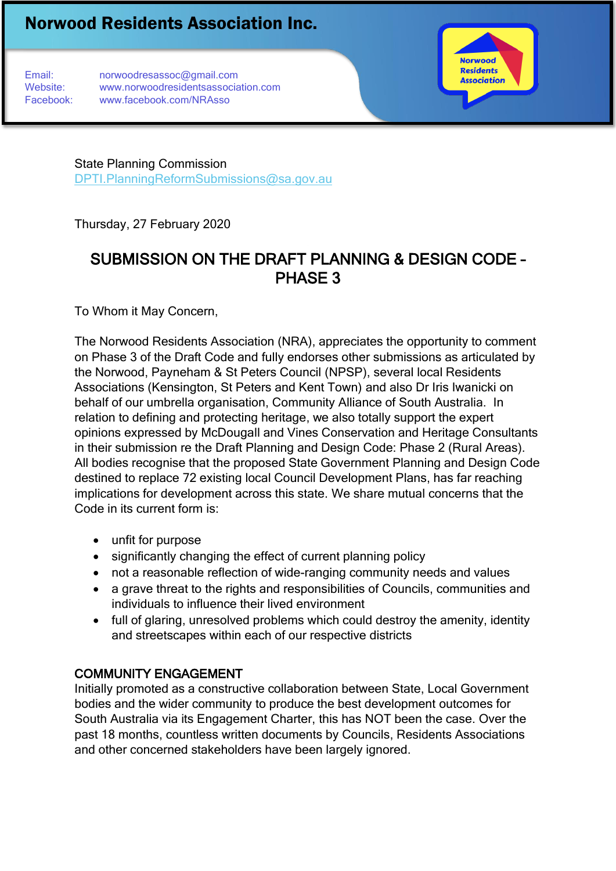Email: norwoodresassoc@gmail.com Website: www.norwoodresidentsassociation.com Facebook: www.facebook.com/NRAsso



State Planning Commission [DPTI.PlanningReformSubmissions@sa.gov.au](mailto:DPTI.PlanningReformSubmissions@sa.gov.au)

Thursday, 27 February 2020

# SUBMISSION ON THE DRAFT PLANNING & DESIGN CODE – PHASE 3

To Whom it May Concern,

The Norwood Residents Association (NRA), appreciates the opportunity to comment on Phase 3 of the Draft Code and fully endorses other submissions as articulated by the Norwood, Payneham & St Peters Council (NPSP), several local Residents Associations (Kensington, St Peters and Kent Town) and also Dr Iris Iwanicki on behalf of our umbrella organisation, Community Alliance of South Australia. In relation to defining and protecting heritage, we also totally support the expert opinions expressed by McDougall and Vines Conservation and Heritage Consultants in their submission re the Draft Planning and Design Code: Phase 2 (Rural Areas). All bodies recognise that the proposed State Government Planning and Design Code destined to replace 72 existing local Council Development Plans, has far reaching implications for development across this state. We share mutual concerns that the Code in its current form is:

- unfit for purpose
- significantly changing the effect of current planning policy
- not a reasonable reflection of wide-ranging community needs and values
- a grave threat to the rights and responsibilities of Councils, communities and individuals to influence their lived environment
- full of glaring, unresolved problems which could destroy the amenity, identity and streetscapes within each of our respective districts

### COMMUNITY ENGAGEMENT

Initially promoted as a constructive collaboration between State, Local Government bodies and the wider community to produce the best development outcomes for South Australia via its Engagement Charter, this has NOT been the case. Over the past 18 months, countless written documents by Councils, Residents Associations and other concerned stakeholders have been largely ignored.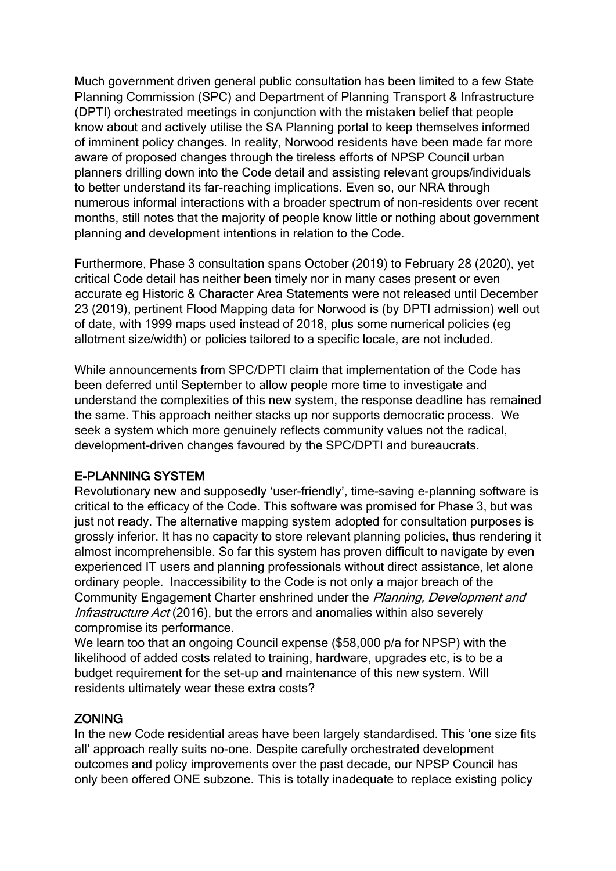Much government driven general public consultation has been limited to a few State Planning Commission (SPC) and Department of Planning Transport & Infrastructure (DPTI) orchestrated meetings in conjunction with the mistaken belief that people know about and actively utilise the SA Planning portal to keep themselves informed of imminent policy changes. In reality, Norwood residents have been made far more aware of proposed changes through the tireless efforts of NPSP Council urban planners drilling down into the Code detail and assisting relevant groups/individuals to better understand its far-reaching implications. Even so, our NRA through numerous informal interactions with a broader spectrum of non-residents over recent months, still notes that the majority of people know little or nothing about government planning and development intentions in relation to the Code.

Furthermore, Phase 3 consultation spans October (2019) to February 28 (2020), yet critical Code detail has neither been timely nor in many cases present or even accurate eg Historic & Character Area Statements were not released until December 23 (2019), pertinent Flood Mapping data for Norwood is (by DPTI admission) well out of date, with 1999 maps used instead of 2018, plus some numerical policies (eg allotment size/width) or policies tailored to a specific locale, are not included.

While announcements from SPC/DPTI claim that implementation of the Code has been deferred until September to allow people more time to investigate and understand the complexities of this new system, the response deadline has remained the same. This approach neither stacks up nor supports democratic process. We seek a system which more genuinely reflects community values not the radical, development-driven changes favoured by the SPC/DPTI and bureaucrats.

## E-PLANNING SYSTEM

Revolutionary new and supposedly 'user-friendly', time-saving e-planning software is critical to the efficacy of the Code. This software was promised for Phase 3, but was just not ready. The alternative mapping system adopted for consultation purposes is grossly inferior. It has no capacity to store relevant planning policies, thus rendering it almost incomprehensible. So far this system has proven difficult to navigate by even experienced IT users and planning professionals without direct assistance, let alone ordinary people. Inaccessibility to the Code is not only a major breach of the Community Engagement Charter enshrined under the Planning, Development and Infrastructure Act (2016), but the errors and anomalies within also severely compromise its performance.

We learn too that an ongoing Council expense (\$58,000 p/a for NPSP) with the likelihood of added costs related to training, hardware, upgrades etc, is to be a budget requirement for the set-up and maintenance of this new system. Will residents ultimately wear these extra costs?

#### ZONING

In the new Code residential areas have been largely standardised. This 'one size fits all' approach really suits no-one. Despite carefully orchestrated development outcomes and policy improvements over the past decade, our NPSP Council has only been offered ONE subzone. This is totally inadequate to replace existing policy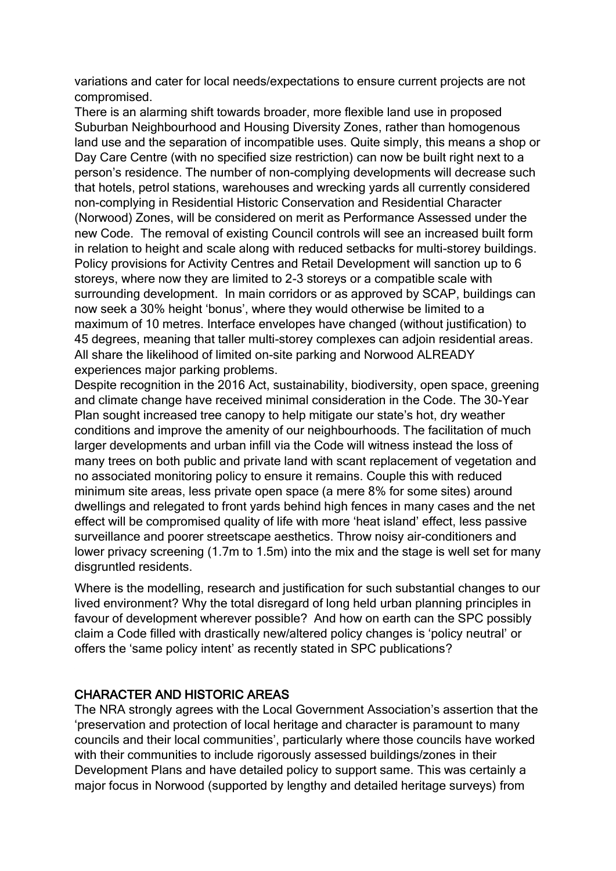variations and cater for local needs/expectations to ensure current projects are not compromised.

There is an alarming shift towards broader, more flexible land use in proposed Suburban Neighbourhood and Housing Diversity Zones, rather than homogenous land use and the separation of incompatible uses. Quite simply, this means a shop or Day Care Centre (with no specified size restriction) can now be built right next to a person's residence. The number of non-complying developments will decrease such that hotels, petrol stations, warehouses and wrecking yards all currently considered non-complying in Residential Historic Conservation and Residential Character (Norwood) Zones, will be considered on merit as Performance Assessed under the new Code. The removal of existing Council controls will see an increased built form in relation to height and scale along with reduced setbacks for multi-storey buildings. Policy provisions for Activity Centres and Retail Development will sanction up to 6 storeys, where now they are limited to 2-3 storeys or a compatible scale with surrounding development. In main corridors or as approved by SCAP, buildings can now seek a 30% height 'bonus', where they would otherwise be limited to a maximum of 10 metres. Interface envelopes have changed (without justification) to 45 degrees, meaning that taller multi-storey complexes can adjoin residential areas. All share the likelihood of limited on-site parking and Norwood ALREADY experiences major parking problems.

Despite recognition in the 2016 Act, sustainability, biodiversity, open space, greening and climate change have received minimal consideration in the Code. The 30-Year Plan sought increased tree canopy to help mitigate our state's hot, dry weather conditions and improve the amenity of our neighbourhoods. The facilitation of much larger developments and urban infill via the Code will witness instead the loss of many trees on both public and private land with scant replacement of vegetation and no associated monitoring policy to ensure it remains. Couple this with reduced minimum site areas, less private open space (a mere 8% for some sites) around dwellings and relegated to front yards behind high fences in many cases and the net effect will be compromised quality of life with more 'heat island' effect, less passive surveillance and poorer streetscape aesthetics. Throw noisy air-conditioners and lower privacy screening (1.7m to 1.5m) into the mix and the stage is well set for many disgruntled residents.

Where is the modelling, research and justification for such substantial changes to our lived environment? Why the total disregard of long held urban planning principles in favour of development wherever possible? And how on earth can the SPC possibly claim a Code filled with drastically new/altered policy changes is 'policy neutral' or offers the 'same policy intent' as recently stated in SPC publications?

#### CHARACTER AND HISTORIC AREAS

The NRA strongly agrees with the Local Government Association's assertion that the 'preservation and protection of local heritage and character is paramount to many councils and their local communities', particularly where those councils have worked with their communities to include rigorously assessed buildings/zones in their Development Plans and have detailed policy to support same. This was certainly a major focus in Norwood (supported by lengthy and detailed heritage surveys) from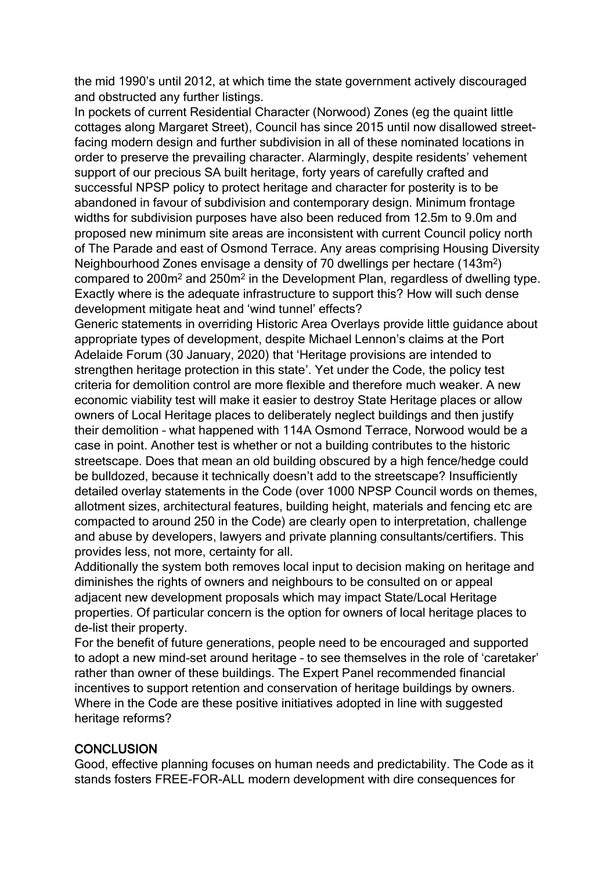the mid 1990's until 2012, at which time the state government actively discouraged and obstructed any further listings.

In pockets of current Residential Character (Norwood) Zones (eg the quaint little cottages along Margaret Street), Council has since 2015 until now disallowed streetfacing modern design and further subdivision in all of these nominated locations in order to preserve the prevailing character. Alarmingly, despite residents' vehement support of our precious SA built heritage, forty years of carefully crafted and successful NPSP policy to protect heritage and character for posterity is to be abandoned in favour of subdivision and contemporary design. Minimum frontage widths for subdivision purposes have also been reduced from 12.5m to 9.0m and proposed new minimum site areas are inconsistent with current Council policy north of The Parade and east of Osmond Terrace. Any areas comprising Housing Diversity Neighbourhood Zones envisage a density of 70 dwellings per hectare (143m<sup>2</sup>) compared to 200m<sup>2</sup> and 250m<sup>2</sup> in the Development Plan, regardless of dwelling type. Exactly where is the adequate infrastructure to support this? How will such dense development mitigate heat and 'wind tunnel' effects?

Generic statements in overriding Historic Area Overlays provide little guidance about appropriate types of development, despite Michael Lennon's claims at the Port Adelaide Forum (30 January, 2020) that 'Heritage provisions are intended to strengthen heritage protection in this state'. Yet under the Code, the policy test criteria for demolition control are more flexible and therefore much weaker. A new economic viability test will make it easier to destroy State Heritage places or allow owners of Local Heritage places to deliberately neglect buildings and then justify their demolition – what happened with 114A Osmond Terrace, Norwood would be a case in point. Another test is whether or not a building contributes to the historic streetscape. Does that mean an old building obscured by a high fence/hedge could be bulldozed, because it technically doesn't add to the streetscape? Insufficiently detailed overlay statements in the Code (over 1000 NPSP Council words on themes, allotment sizes, architectural features, building height, materials and fencing etc are compacted to around 250 in the Code) are clearly open to interpretation, challenge and abuse by developers, lawyers and private planning consultants/certifiers. This provides less, not more, certainty for all.

Additionally the system both removes local input to decision making on heritage and diminishes the rights of owners and neighbours to be consulted on or appeal adjacent new development proposals which may impact State/Local Heritage properties. Of particular concern is the option for owners of local heritage places to de-list their property.

For the benefit of future generations, people need to be encouraged and supported to adopt a new mind-set around heritage – to see themselves in the role of 'caretaker' rather than owner of these buildings. The Expert Panel recommended financial incentives to support retention and conservation of heritage buildings by owners. Where in the Code are these positive initiatives adopted in line with suggested heritage reforms?

#### **CONCLUSION**

Good, effective planning focuses on human needs and predictability. The Code as it stands fosters FREE-FOR-ALL modern development with dire consequences for